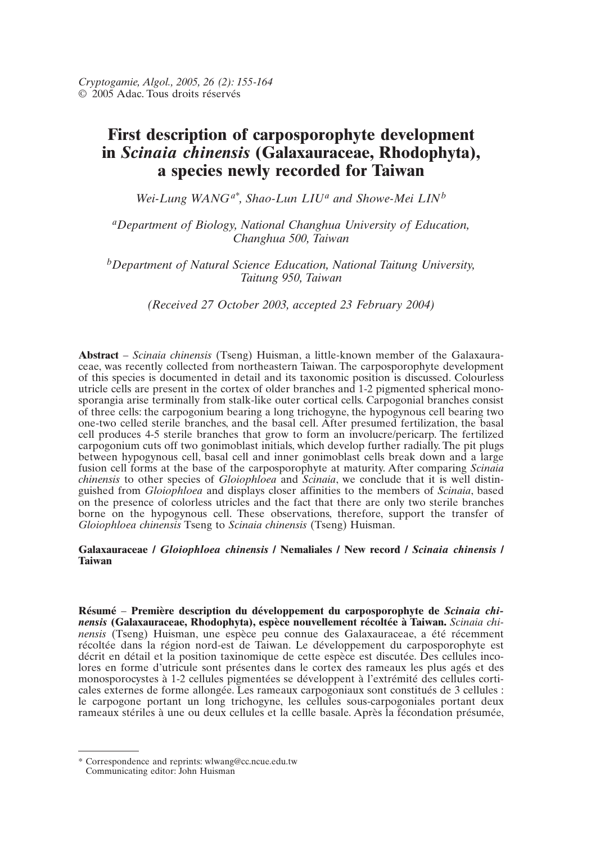# **First description of carposporophyte development in Scinaia chinensis (Galaxauraceae, Rhodophyta),** *Wei-Lung WANG*<sup>*a\**</sup> *Shao-Lun LIU<sup><i>a*</sup> and Showe-Mei LIN</sub><sup>*b*</sup>

*Wei-Lung WANG<sup>a\*</sup>, Shao-Lun LIU<sup>a</sup> and Showe-Mei LIN<sup>b</sup>* 

*Wei-Lung WANG<sup>a\*</sup>, Shao-Lun LIU<sup>a</sup> and Showe-Mei LIN<sup>b</sup><br><sup>a</sup>Department of Biology, National Changhua University of Education,<br>Changhua 500. Taiwan* Changhua 500, Taiwan

*D, Taiwa<br>ation, N<br>Taiwan* ment of Natural Science Education, National Taitung Un

(Received 27 October 2003, accepted 23 February 2004)

 – *Scinaia chinensis* (Tseng) Huisman, a little-known member of the Galaxaura--known member of the Galaxaura-<br>The carposporophyte development of this species is documented in detail and its taxonomic position is discussed. Colourless Abstract – Scingia chinensis (Tseng) Huisman a little-known member of the Galaxauraceae, was recently collected from northeastern Taiwan. The carposporophyte development cell produces 4-5 specifical produces 4-5 steel branches that a 2 p-grown to specifical monetor specifical and in carried the carpogonium bearing a long trichogyne, the hypogynous cell bearing two of three cells: the carpogonium bearing a long trichogyne, the hypogynous cell bearing two utricle cells are present in the cortex of older branches and 1-2 pigmented spherical monobetween the cells and inproperties cell, after presumed fertilization, the basal one-two celled sterile branches, and the basal cell. After presumed fertilization, the basal fusion cell produces 4-5 sterile branches that grow to form an involucre/pericarp. The fertilized carpogonium cuts off two gonimoblast initials, which develop further radially. The pit plugs<br>between hypogynous cell, basal cell and inner gonimoblast cells break down and a large<br>fusion cell forms at the base of the carpo guished from *Gloinal Cale of the glomate and displays closer affinite* to the members of *From programs* closer affinition of  $\alpha$  and  $\alpha$  and  $\alpha$  and  $\alpha$  and  $\alpha$  and  $\alpha$  and  $\alpha$  and  $\alpha$  and  $\alpha$  and  $\alpha$  and  $\alpha$  of the presence of the carposporophyte at maturity. After comparing Scinaia fusion cell forms at the base of the carposporophyte at maturity. After comparing Scinaia guished from *Gloiophloea* and displays closer affinities to the members of *Scinaia*, based<br>on the presence of colorless utricles and the fact that there are only two sterile branches<br>borne on the hypogynous cell. These o on the presence of colorless utricles and the fact that there are only two sterile branches *chinensis* to other species of *Gloiophloea* and *Scinaia*, we conclude that it is well distinguished from *Gloiophloea* and displays closer affinities to the members of *Scinaia*, based on the presence of colorless utric borne on the hypogynous cell. These observations, therefore, support the transfer of *Gloiophloea chinensis* Tseng to *Scinaia chinensis* (Tseng) Huisman.<br>**Galaxauraceae /** *Gloiophloea chinensis* **/ Nemaliales / New record** Gloiophloea chinensis Tseng to Scinaia chinensis (Tseng) Huisman.

### **Taiwan**

 – **Première description du développement du carposporophyte de** *Scinaia chi- Scinaia chi*lores en formalisation de la cortex de la cortex de la cortex de la cortex de la cortex de la cortex de la cor<br>nensis (Tseng) Huisman, une espèce peu connue des Galaxauraceae, a été récemment Résumé – Première descrintion du développement du carposporophyte de Scingia chimonde (1996) constants, and to pick the constant and the communication, a literature corrected des cellules des cellules cortinensis (Galaxauraceae, Rhodophyta), espèce nouvellement récoltée à Taiwan. Scinaia chile care carpote portant un long trichogyne, les cellules sous-carpotes en forme d'utricule sont présentes dans le cortex des rameaux les plus agés et des décrit en détail et la position taxinomique de cette espèce est discutée. Des cellules incocales externes de forme allongée. Les rameaux carpogoniaux sont constitués de 3 cellules : le carpogone portant un long trichogyne, les cellules sous-carpogoniales portant deux monosporocystes à 1-2 cellules pigmentées se développent à l'extrémité des cellules cortirameaux stériles à une ou deux cellules et la cellle basale. Après la fécondation présumée,

prints: wlwang@cc.ncue.edu.tw<br>John Huisman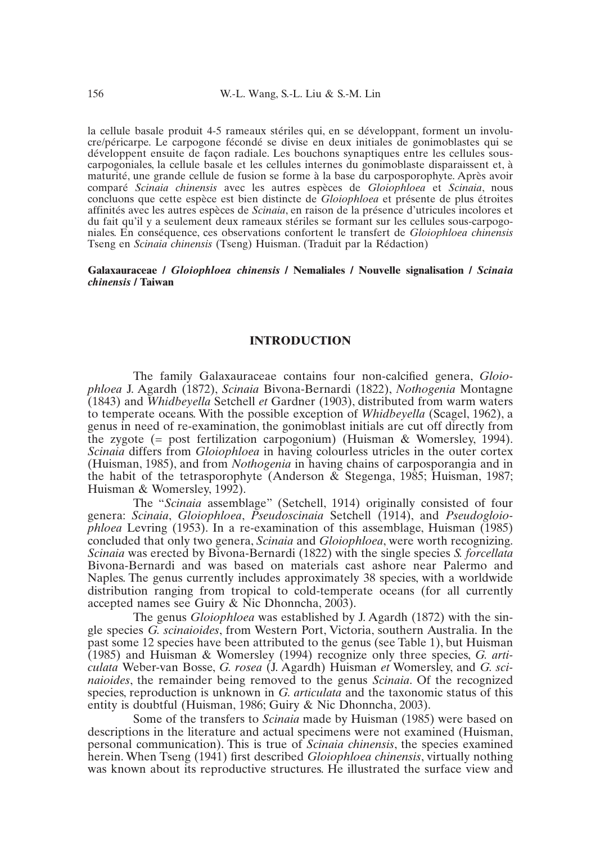maturité, une grande cellule de function de function de fusion se forme à la base du carposport de carpogone fécondé se divise en deux initiales de gonimoblastes qui se la cellule basale produit 4-5 rameaux stériles qui, en se développant, forment un involuu-<br>se<br>à and programmes, en raison de la provincie de la provincie de *Scinaia e la provincie de provincie.*<br>Après avoir développent ensuite de façon radiale. Les bouchons synaptiques entre les cellules sousavec les cellules internet aux primatiques entre les cellules sous-<br>sale et les cellules internes du gonimoblaste disparaissent et, à<br>et de fusion se forme à la base du carposporophyte. Après avoir<br>avec les autres espèces carpogoniales, la cellule basale et les cellules internes du gonimoblaste disparaissent et, à noncluons que cette espèce est bien distincte de *Gloiophloea* et présente de plus étroites affinités avec les autres espèces de *Scinaia*, en raison de la présence d'utricules incolores et<br>du fait qu'il y a seulement deux rameaux stériles se formant sur les cellules sous-carpogo-<br>niales. En conséquence, ces obse comparé Scinaia chinensis avec les autres espèces de Gloiophloea et Scinaia, nous males. En conséquence, ces observations confortent le transfert de *Gloiophloea chinensis*  **/ Nemaliales / Nouvelle signalisation /** *Scinaia* **Tseng en Scinaia chinensis** (Tseng) Huisman. (Traduit par la Rédaction)

*Scinaia c*<br>**aceae** / *t*<br>*l* **Taiwan** 

### **INTRODUCTION**

 *Gloio-* J. Agardh (1872), *Scinaia* Bivona-Bernardi (1822), *Nothogenia* Montagne alaxauraceae contains four non-calcified genera, *Gloio*-<br>
(alaxauraceae contains four non-calcified genera, *Gloio*-<br>
Setchell *et* Gardner (1903), distributed from warm waters The family Galaxauraceae contains four non-calcified genera, *Gloi* o-<br>re<br>a phloeg I Agardh (1872), *Scingig* Biyona-Bernardi (1822), *Nothogenia* Montagne (Huisman, 1985), and from *Nothogenia* in having chains are cut off directly from<br>the zygote (= post fertilization carpogonium) (Huisman & Womersley, 1994).<br>Scinaia differs from *Gloiophloea* in having colourless utricles  $(1843)$  and *Whidbeyella* Setchell *et* Gardner  $(1903)$ , distributed from warm waters the zygote  $(=$  post fertilization carpogonium) (Huisman, & Womersley, 1994). From *Scinaia* differs from *Gloiophloea* in having colourless utricles in the outer of *Scagel*, 1962), a genus in need of re-examination, the gonimoblast initials are cut off directly from the zygote (= post fertilizatio Scinaia differs from *Gloiophloea* in having colourless utricles in the outer cortex Huisman & Womersley, 1992). (Huisman, 1985), and from *Nothogenia* in having chains of carposporangia and in from *Nothogenia* in having chains of carposporangia and in<br>sporophyte (Anderson & Stegenga, 1985; Huisman, 1987;<br>y, 1992).<br>assemblage" (Setchell, 1914) originally consisted of four the habit of the tetrasporophyte (Anderson & Stegenga, 1985; Huisman, 1987; Huisman & Womersley, 1992).<br>
The "Scinaia assemblage" (Setchell, 1914) originally consisted of four<br>
genera: *Scinaia*, *Gloiophloea*, *Pseudoscin* 

an & Womersley, 1992).<br>
The "Scinaia assemblage" (Setchell, 1914) originally consisted of four<br>
: Scinaia, Gloiophloea, Pseudoscinaia Setchell (1914), and Pseudogloio-<br>
Levring (1953). In a re-examination of this assembla The "Scinaia assemblage" (Setchell, 1914) originally consisted of four ge" (Setchell, 1914) originally consisted of four<br>*Pseudoscinaia* Setchell (1914), and *Pseudogloio-*<br>examination of this assemblage, Huisman (1985)<br>*Scinaia* and *Gloiophloea*, were worth recognizing. genera: *Scinaia*, *Gloiophloea*, *Pseudoscinaia* Setchell (1914), and *Pseudogloio-*<br>*phloea* Levring (1953). In a re-examination of this assemblage, Huisman (1985)<br>concluded that only two genera, *Scinaia* and *Gloiophl*  $phloea$  Levring (1953). In a re-examination of this assemblage, Huisman (1985) Bivona-Bernardi and was based on materials cast ashore near Palermo and concluded that only two genera, Scinaia and Gloiophloea, were worth recognizing. The genus currently includes approximately 38 species, with a worldwide<br>ion ranging from tropical to cold-temperate oceans (for all currently<br>names see Guiry & Nic Dhonncha, 2003).<br>The genus *Gloiophloea* was established b Scinaia was erected by Bivona-Bernardi (1822) with the single species *S. forcellata* distribution ranging from tropical to cold-temperate oceans (for all currently accepted names see Guiry & Nic Dhonncha, 2003). anging from tropical to cold-temperate oceans (for all currently<br>es see Guiry & Nic Dhonncha, 2003).<br>genus *Gloiophloea* was established by J. Agardh (1872) with the sin-<br>*scinaioides*, from Western Port, Victoria, souther

past some 12 species have been attributed to the genus *(see Table 1)*, but Huisman The genus *Gloiophloea* was established by J. Agardh (1872) with the single species *G. scinaioides*, from Western Port, Victoria, southern Australia. In the past some 12 species have been attributed to the genus (see Tabl gle species *G. scinaioides*, from Western Port, Victoria, southern Australia. In the *G. From Western Port, Victoria, southern Australia. In the*<br>*e* been attributed to the genus (see Table 1), but Huisman Womersley (1994) recognize only three species, *G. arti-*<br>*G. rosea* (J. Agardh) Huisman *et* Womersl the remainder being removed to the genus *Scinaia*. Of the recognized eproduction is unknown in *G. articulata* and the taxonomic status of this doubtful (Huisman, 1986; Guiry & Nic Dhonncha, 2003). Some of the transfers t (1985) and Huisman & Womersley (1994) recognize only three species, *G. articulata* Weber-van Bosse, *G. rosea* (J. Agardh) Huisman *et* Womersley, and *G. scinaioides*, the remainder being removed to the genus *Scinaia*. culata Weber-van Bosse, G. rosea (J. Agardh) Huisman et Womersley, and G. scientity is doubtful (Huisman, 1986; Guiry & Nic Dhonncha, 2003). species, reproduction is unknown in  $G$ , *articulata* and the taxonomic status of this

descriptions in the literature and actual specimens were not examined (Huisman, In, 1986; Guiry & Nic Dhonncha, 2003).<br>Ifers to *Scinaia* made by Huisman (1985) were based on<br>Ire and actual specimens were not examined (Huisman,<br>This is true of *Scinaia chinensis*, the species examined herein.Some of the transfers to *Scinaia* made by Huisman (1985) were based on tions in the literature and actual specimens were not examined (Huisman, al communication). This is true of *Scinaia chinensis*, the species examined was known about its reproductive structures. He illustrated the surface view and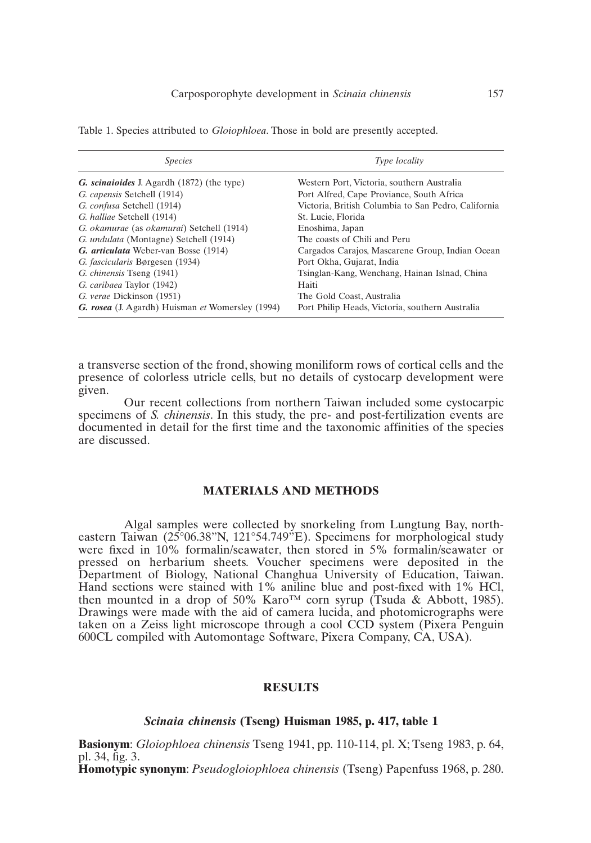| Table 1. Species attributed to <i>Gloiophloea</i> . Those in bold are presently accepted. |                                                     |  |  |  |  |  |
|-------------------------------------------------------------------------------------------|-----------------------------------------------------|--|--|--|--|--|
| <i>Species</i>                                                                            | <i>Type locality</i>                                |  |  |  |  |  |
| G. scinatoides J. Agardh (1872) (the type)                                                | Western Port, Victoria, southern Australia          |  |  |  |  |  |
| G. capensis Setchell (1914)                                                               | Port Alfred, Cape Proviance, South Africa           |  |  |  |  |  |
| G. confusa Setchell (1914)                                                                | Victoria, British Columbia to San Pedro, California |  |  |  |  |  |
| G. halliae Setchell (1914)                                                                | St. Lucie, Florida                                  |  |  |  |  |  |
| G. okamurae (as okamurai) Setchell (1914)                                                 | Enoshima, Japan                                     |  |  |  |  |  |
| G. <i>undulata</i> (Montagne) Setchell (1914)                                             | The coasts of Chili and Peru                        |  |  |  |  |  |

Chell (1914)<br>
(as *okamurai*) Setchell (1914) Cargados Carajos, Montagne) Setchell (1914) Cargados Carajos, Mascarene Group, Indian Ocean<br>
Cargados Carajos, Mascarene Group, Indian Ocean

*okamurae* (as *okamurai*) Setchell (1914)<br> *imdulata* (Montagne) Setchell (1914)<br> *articulata* Weber-van Bosse (1914)<br> *fascicularis* Børgesen (1934)<br>
Port Okha, Gujarat, India<br>
Port Okha, Gujarat, India

*zascicutaris* Børgesen (1934)<br> *verae* Dickinson (1942)<br> *verae* Dickinson (1951)<br>
The Gold Coast, Australia

*G. articulata* weber-van Bosse (1914) Carge<br> *G. fascicularis* Børgesen (1934) Port<br> *G. chinensis* Tseng (1941) Tsing<br> *G. caribaea* Taylor (1942) Haiti

*G. chinensis* Tseng (1941)<br>*G. caribaea* Taylor (1942)

*G.*

*G.*

| a transverse section of the frond, showing moniliform rows of cortical cells and the<br>presence of colorless utricle cells, but no details of cystocarp development were |
|---------------------------------------------------------------------------------------------------------------------------------------------------------------------------|
| given.                                                                                                                                                                    |
| Our recent collections from northern Taiwan included some cystocarpic                                                                                                     |
| specimens of S, <i>chinensis</i> . In this study, the pre- and post-fertilization events are                                                                              |

*chinensis* Tseng (1914)<br> *chinensis* Tseng (1914)<br> *chinensis* Tseng (1934)<br> *chinensis* Tseng (1941)<br> *chinensis* Tseng (1941)<br>
Tsinglan-Kang, Wenchang, Hainan Islnad, China

G. *chinensis* Tseng (1941) Tsinglan-Kang, Wenchang, Hainan Islnad, China<br> *G. caribaea* Taylor (1942) Huisman *et* Womersley (1994) Port Philip Heads, Victoria, southern Australia<br> **G. rosea** (J. Agardh) Huisman *et* Wome

 $\overline{\text{Our}}$ documented in detail for the first time and the taxonomic affinities of the species are discussed.

### $M$ atediate and methode  $MALNALS AND MELIQUDS$

 $\frac{1}{2}$  Department of Biology, National Changemann Case (25°06.38"N, 121°54.749"E). Specimens for morphological study were fixed in 10% formalin/seawater, then stored in 5% formalin/seawater or Algal samples were collected by snorkeling from Lungtung Bay, norththe study<br>water or<br>in the<br>Taiwan.  $\epsilon$  expansion on a Zeisgy, reasonal comparison conversely or Education, reasonal Hand sections were stained with 1% aniline blue and post-fixed with 1% HCl, there mounted in a drop community converse them correct in a drop community conversed on the present of  $\alpha$ then mounted in a drop of 50%  $\text{Karo}^{\text{TM}}$  corn syrup (Tsuda & Abbott, 1985). Department of Biology, National Changhua University of Education, Taiwan. Drawings were made with the aid of camera lucida, and photomicrographs were taken on a Zeiss light microscope through a cool CCD system (Pixera Penguin 600CL compiled with Automontage Software, Pixera Company, CA, USA).

### **RESULTS**

## **(Tseng) Huisman 1985, p. 417, table 1 Homotypic synonym**:

*Scinaia chinensis* (Tseng) Huisman 1985, p. 417, table 1<br>*Gloiophloea chinensis* Tseng 1941, pp. 110-114, pl. X; Tseng 1983, p. 64, pl. 34, fig. 3. *Pacifical Cisengy Fransman 1969, p. 417, table 1*<br>*Pseudogloiophloea chinensis* (Tseng) Papenfuss 1968, p. 280.<br>*Pseudogloiophloea chinensis* (Tseng) Papenfuss 1968, p. 280.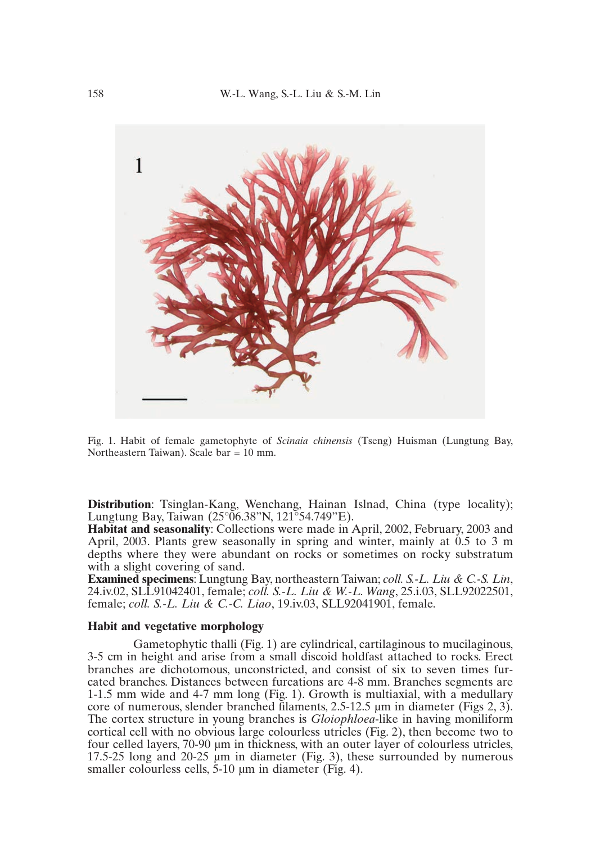

 1. Habit of female gametophyte of *Scinaia chinensis* (Tseng) Huisman (Lungtung Bay, Northeastern Taiwan). Scale bar =  $10$  mm.

 $\mu$  between the theory is received to rock or sometimes of  $\mu$  rocks or  $\mu$  rocks or  $\mu$ . ina (type locality);<br>February, 2003 and Distribution: Tsinglan-Kang Wenchang Hainan Islnad China (type locality):

April, 2003. Plants grew seasonally in spring and winter, mainly at 0.5 to 3 m depths where they were abundant on rocks or sometimes on rocky substratum Habitat and seasonality: Collections were made in April, 2002, February, 2003 and with a slight covering of sand. *coll.S.-L. Liu & C.-S. Lin*, *coll. S.-L. Liu & W.-L. Wang.* 25.*i.03, SLL92022501,*<br>*coll. S.-L. Liu & W.-L. Wang.* 25.*i.03, SLL920222501*,

*coll. S.-L. Liu & C.-C. Liao.* 19. *S.-L. Wang, 25.i.03, coll. S.-L. Liu & C.-C. Liao.* 19.*iv.03, SLL92041901, female.* 24.iv.02, SLL91042401, female; *coll. S.-L. Liu & W.-L. Wang*, 25.i.03, SLL92022501, female; *coll. S.-L. Liu & C.-C. Liao*, 19.iv.03, SLL92041901, female.  $\Delta$ 5 cm in height and arise from a small discoid holdfast attached to rocks. Erection at tached to rocks. Erection  $\Delta$ 

### Habit and vegetative morphology

Gametophytic thalli (Fig. 1) are cylindrical, cartilaginous to mucilaginous,  $3-5$  cm in height and arise from a small discoid holdfast attached to rocks. Erect The cortex structure in the continuous, and contains of the cortex annual relations are 4-8 mm. Branches segments are care cortical cells with no obvious large colourless utility of the colourless colourless utility of 1-1.5 mm wide and 4-7 mm long (Fig. 1). Growth is multiaxial, with a medullary branches are dichotomous, unconstricted, and consist of six to seven times furfor the limit with the third  $\frac{1}{2}$ . This relation is the colour correlation of correlation of correlation of colourless utility correlation of colourless utility of colourless utility. The cortex structure in young branches is  $Gloophloea$ -like in having monificorm smaller colourless colourless colourless colourless contributions control and the metal cell with no obvious large colourless utricles (Fig. 2), then become two to four celled layers, 70-90 μm in thickness, with an outer layer of colourless utricles, 17.5-25 long and 20-25  $\mu$ m in diameter (Fig. 3), these surrounded by numerous smaller colourless cells, 5-10 µm in diameter (Fig. 4).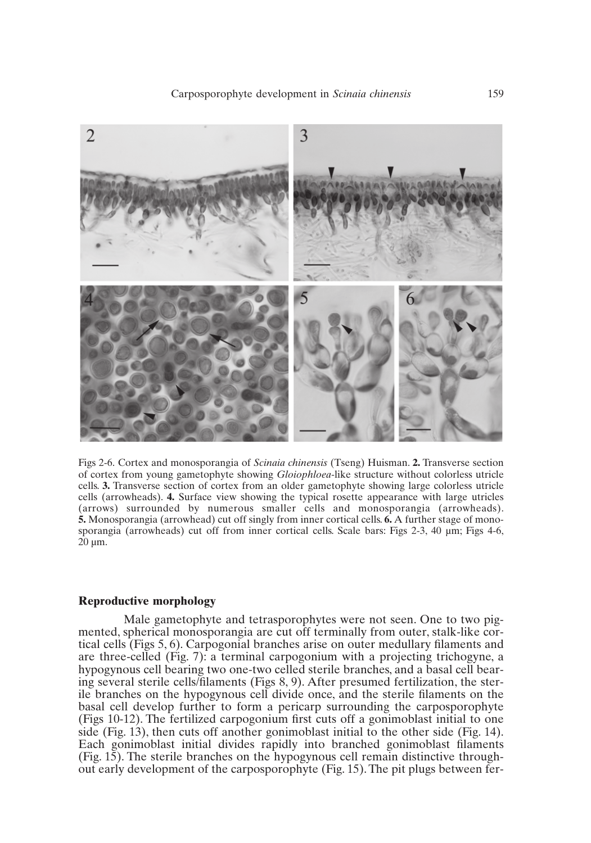

2-6. Cortex and monosporangia of *Scinaia chinensis* (Tseng) Huisman. 2. Transverse section of cortex from an older gametophyte showing *Gloiophloea*-like structure without colorless utricle 3. Transverse section of cortex Figs 2-6. Cortex and Figs 2-6. Cortex and monosporangia of *Scinaia chinensis* (Tseng) Huisman. 2. Transverse section of cortex from an older gametophyte showing large colorless utricle cells. **3.** Transverse section of cortex from an older ga of cortex from young gametophyte showing *Gloiophloea*-like structure without colorless utricle Free Searance with large utricles<br>Sporangia (arrowheads).<br>6. A further stage of mono-<br>Figs 2-3, 40 um; Figs 4-6, cells (arrowheads). 4. Surface view showing the typical rosette appearance with large utricles (arrow  $20 \mu m$ .

mented, spherical monosporangia are cut off terminally from outer, stalk-like cor-

### Reproductive morphology. Carefordial branches arise on outer media branches are media and and selected media  $\mathbb{R}$

Male gametophyte and tetrasporophytes were not seen. One to two pigmented, spherical monosporangia are cut off terminally from outer, stalk-like coring sterile cells (Figs 5, 6). Carpogonial branches arise on outer medullary filaments and are three-celled (Fig. 7): a terminal carpogonium with a projecting trichogyne, a hypogynous cell bearing two one-two celled sterile branches, and a basal cell bear-Ing several sterile cells/filaments (Figs 8, 9). After presumed fertilization, the ster-<br>ile branches on the hypogynous cell divide once, and the sterile filaments on the<br>basal cell develop further to form a pericarp surro signed to the side of the cuts of another good, the other cuts of the other side of the other side of the other side of the other side of the side of the side of the side of the side of the side of the side of the side of Each government of the hypogyneus can always and the steam manner of the basal cell develop further to form a pericarp surrounding the carposporophyte (Figs 10-12). The fertilized carpogonium first cuts off a gonimoblast initial to one<br>side (Fig. 13), then cuts off another gonimoblast initial to the other side (Fig. 14).<br>Each gonimoblast initial divides rapidly into bran  $\frac{1}{2}$  and  $\frac{1}{2}$ . The column of the carposponding method of the carposition ferrifical to the other side (Fig. 14). Each gonimoblast initial divides rapidly into branched gonimoblast filaments out early development of the carposporophyte (Fig. 15). The pit plugs between fer-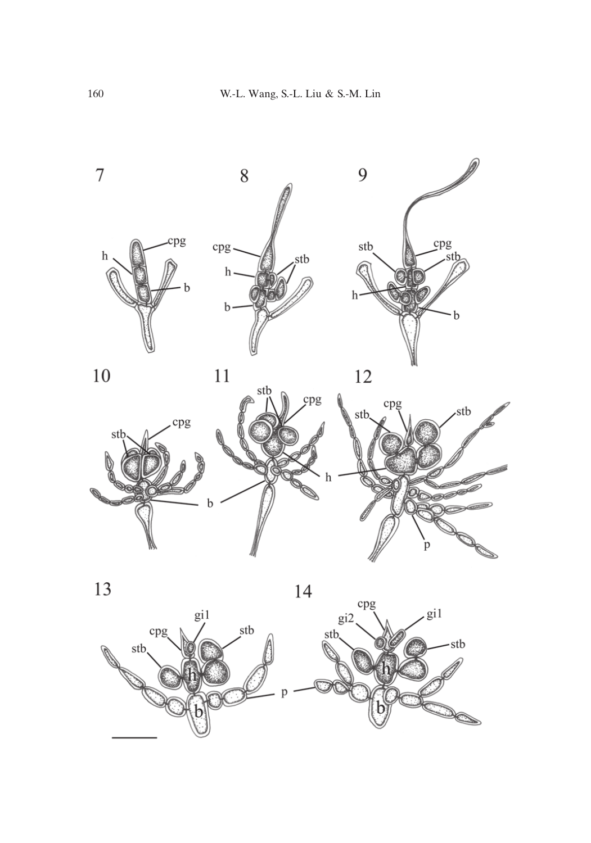









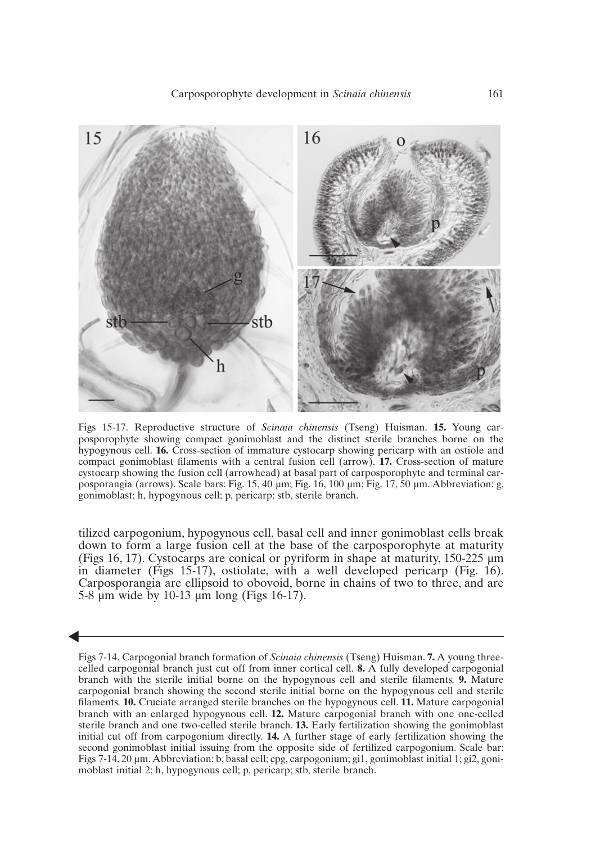

posporangia (arrows). Scale bars: Fig. 15, 40  $\mu$ m; Fig. 16, 100  $\mu$ m; Fig. 17, 50  $\mu$ m. Abbreviation: g, gonimoblast; h, hypogynous cell; p, pericarp; stb, sterile branch.  $\sigma$  a large function cell at the base of the carposition cell at  $\Gamma$ 16. The intervalst and the distinct sterile branches borne on the solution of immature cystocarp showing pericarp with an ostiole and **16.** Cross-section of immature cystocarp showing pericarp with an ostiole and Followian **15.** Young car-<br>
17. Cross-section of mature<br>
17. Cross-section of mature posporophyte showing compact gonimoblast and the distinct sterile branches borne on the hypogynous cell. 16. Cross-section of immature cystocarp showing pericarp with an ostiole and In of immature cystocarp showing pericarp with an ostiole and<br>vith a central fusion cell (arrow). **17.** Cross-section of mature<br>(arrowhead) at basal part of carposporophyte and terminal car-<br>Fig. 15, 40 μm; Fig. 16, 100 μ compact gonimoblast filaments with a central fusion cell (arrow). 17. Cross-section of mature with a central fusion cell (arro<br>(arrowhead) at basal part of ca:<br>Fig. 15, 40 µm; Fig. 16, 100 µm<br>p, pericarp; stb, sterile branch.

tilized carpogonium, hypogynous cell, basal cell and inner gonimoblast cells break. down to form a large fusion cell at the base of the carposporophyte at maturity  $\frac{1}{2}$  (Figs 16, 17). Cystocarps are conical or pyriform in shape at maturity, 150-225  $\mu$ m in diameter (Figs 15-17), ostiolate, with a well developed pericarp (Fig. 16). Carposporangia are ellipsoid to obovoid, borne in chains of two to three, and are  $5-8$  um wide by 10-13 um long (Figs 16-17).

celled carpogonial branch just cut off from inner cortical cell.

 $\blacktriangleleft$ 

**7.** A young three-**8.** The Seng Huisman. **7.** A young three-<br>**8.** A fully developed carpogonial **9.** Mature Figs 7-14. Carpogonial branch formation of *Scinaia chinensis* (Tseng) Huisman. 7. A young threecarpogonial branch showing the second sterile initial borne on the hypogynous cell and sterile celled carpogonial branch just cut off from inner cortical cell. 8. A fully developed carpogonial pogonial branch just cut off from inner cortical cell. **8.** A fully developed carpogonial ith the sterile initial borne on the hypogynous cell and sterile filaments. **9.** Mature ial branch showing the second sterile initia branch with the sterile initial borne on the hypogynous cell and sterile filaments. 9. Mature carpogonial branch showing the second sterile initial borne on the hypogynous cell and sterile filaments. 10. Cruciate arranged Initial borne on the hypogynous cell and sterile<br>on the hypogynous cell. **11.** Mature carpogonial<br>fature carpogonial branch with one one-celled<br>**13.** Early fertilization showing the gonimoblast filaments. **10.** Cruciate arranged sterile branches on the hypogynous cell. **11.** Mature carpogonial branch with an enlarged hypogynous cell. **12.** Mature carpogonial branch with one one-celled sterile branch and one two-c branch with an enlarged hypogynous cell. 12. Mature carpogonial branch with one one-celled second gonimoblast initial issuing from the opposite side of fertilized carpogonium. Scale bar: sterile branch and one two-celled sterile branch. **13.** Early fertilization showing the gonimoblast<br>initial cut off from carpogonium directly. **14.** A further stage of early fertilization showing the<br>second gonimoblast ini initial cut off from carpogonium directly. 14. A further stage of early fertilization showing the Figs 7-14, 20 µm. Abbreviation: b, basal cell; cpg, carpogonium; gi1, gonimoblast initial 1; gi2, gonimoblast initial 2; h, hypogynous cell; p, pericarp; stb, sterile branch.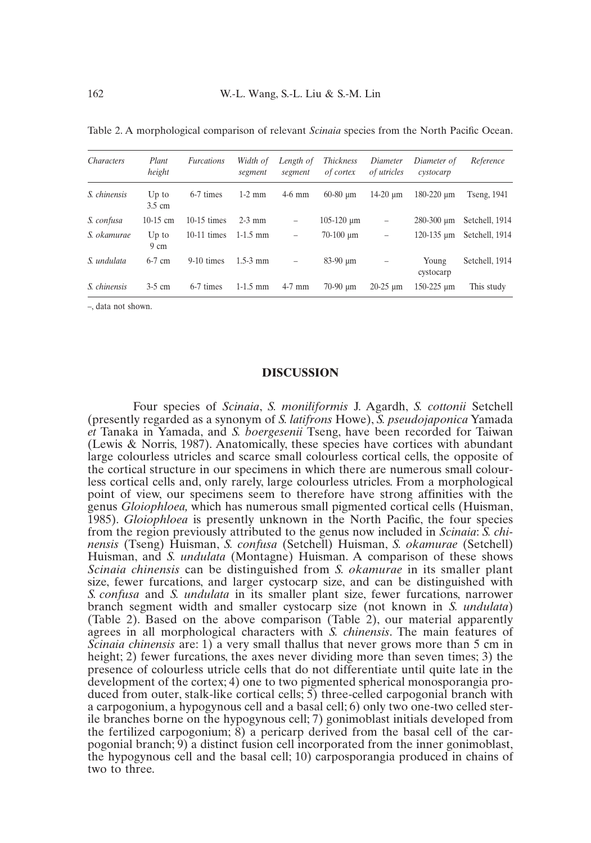| 162                                                                                                  | W.-L. Wang, S.-L. Liu & S.-M. Lin |                   |                     |                          |                               |                          |                          |                |  |  |
|------------------------------------------------------------------------------------------------------|-----------------------------------|-------------------|---------------------|--------------------------|-------------------------------|--------------------------|--------------------------|----------------|--|--|
| Table 2. A morphological comparison of relevant <i>Scinaia</i> species from the North Pacific Ocean. |                                   |                   |                     |                          |                               |                          |                          |                |  |  |
| <i>Characters</i>                                                                                    | Plant<br>height                   | <b>Furcations</b> | Width of<br>segment | Length of<br>segment     | <i>Thickness</i><br>of cortex | Diameter<br>of utricles  | Diameter of<br>cystocarp | Reference      |  |  |
| S. chinensis                                                                                         | $Up$ to<br>3.5 cm                 | 6-7 times         | $1-2$ mm            | $4-6$ mm                 | $60-80 \mu m$                 | $14-20 \mu m$            | 180-220 um               | Tseng, 1941    |  |  |
| S. confusa                                                                                           | $10-15$ cm                        | $10-15$ times     | $2-3$ mm            | $\overline{\phantom{0}}$ | $105-120 \mu m$               | $\overline{\phantom{0}}$ | 280-300 um               | Setchell, 1914 |  |  |
| S. okamurae                                                                                          | $Up$ to<br>$9 \text{ cm}$         | $10-11$ times     | $1-1.5$ mm          |                          | $70-100 \mu m$                | $\overline{\phantom{0}}$ | 120-135 um               | Setchell, 1914 |  |  |
| S. undulata                                                                                          | $6-7$ cm                          | $9-10$ times      | $1.5 - 3$ mm        |                          | 83-90 um                      |                          | Young<br>cystocarp       | Setchell, 1914 |  |  |
| S. chinensis                                                                                         | $3-5$ cm                          | 6-7 times         | $1-1.5$ mm          | $4-7$ mm                 | $70-90 \mu m$                 | $20-25 \mu m$            | 150-225 um               | This study     |  |  |

-, data not shown.

### (presently regarded as a synonym of *S.latifrons*

 *S. moniliformis* J. Agardh, *S. cottonii* Setchell **Moreovich Standard Set Christ**<br>Howe), S. pseudojaponica Yamada Four species of *Scinaia*, *S. moniliformis* J. Agardh, *S. cottonii* Setchell<br>presently regarded as a synonym of *S. latifrons* Howe), *S. pseudojaponica* Yamada<br>Tanaka in Yamada, and *S. boergesenii* Tseng, have been rec Four species of *Scingia S moniliformis* I Agardh S cottonii Setchell less cortical cells and the second cells and the cortices with a morphology (Lewis & Norris, 1987). Anatomically, these species have cortices with abundant large colourless colourless is the monographic of rigidal, the conclusion of contract of the opposite of  $S$  latifrons Howe) S pseudoianonica Yamada point of view, therefore the view species have served with the intuitive<br>large colourless utricles and scarce small colourless cortical cells, the opposite of et Tanaka in Yamada, and S. boergesenii Tseng, have been recorded for Taiwan from the region to the region point of view, our specimens seem to therefore have strong affinities with the the cortical structure in our specimens in which there are numerous small colour-Figure in our specimens in which there are numerous small colour-<br>nd, only rarely, large colourless utricles. From a morphological<br>specimens seem to therefore have strong affinities with the<br>which has numerous small pigmen <sub>the se</sub><br>less co Frical cells and, only rarely, large colourless utricles. From a morphological<br>of view, our specimens seem to therefore have strong affinities with the<br>*Gloiophloea*, which has numerous small pigmented cortical cells (Huis *s. species*<br>*S. chinensis Gloiophloea*, which has numerous small pigmented cortical cells (Huisman, 1985). *Gloiophloea* is presently unknown in the North Pacific, the four species from the region previously attributed to the genus now in 1985). *Gloiophloea* is presently unknown in the North Pacific, the four species *undulata* (Montagnetic University unknown in the North Pacific, the four species<br>previously attributed to the genus now included in *Scinaia: S. chi*-<br>Juisman, *S. confusa* (Setchell) Huisman, *S. okamurae* (Setchell)<br>*un* from the region previously attributed to the genus now included in *Scinaia*: *S. chi*reviously attributed to the genus now included in *Scinaia*: *S. chi*-<br>uisman, *S. confusa* (Setchell) Huisman, *S. okamurae* (Setchell)<br>*undulata* (Montagne) Huisman. A comparison of these shows<br>can be distinguished from size, from the region previously antioured to the genus how increased in semiliar size. size, fewer furcations, and larger cystocarp size, and can be distinguished with *S. F. B. B. B. Andulata* (Montagne) Huisman. A comparison of these shows *Scinaia chinensis* can be distinguished from *S. okamurae* in its smaller plant size, fewer furcations, and larger cystocarp size, and can be disti **Example Scinala chinensis can be distinguished from S.** *okamurae* in its smaller plant size, fewer furcations, and larger cystocarp size, and can be distinguished with S. *confusa* and *S. undulata* in its smaller plant S. confusa and S. *undulata* in its smaller plant size, fewer furcations, narrower *chinensis*. The main state of the main state (not known in *S. undulata*) able 2), our material apparently *chinensis*. The main features of branch segment width and smaller cystocarp size (not known in S. *undulata*) width and smaller cystocarp size (not known in *S. undulata*)<br>and the above comparison (Table 2), our material apparently<br>prophological characters with *S. chinensis*. The main features of<br>are: 1) a very small thallus tha  $\frac{1}{2}$  fable 2) Based on the above comparison (Table 2) our material apparently determing the correlation of  $\frac{1}{2}$  correlation of  $\frac{1}{2}$  correlation carpo correlation of the correlation of the correlation of the correlation of the correlation of the correlation of the correlation of the correl agrees in all morphological characters with S. *chinensis*. The main features of  $\frac{d}{dx}$  care carposition, and a basis in the cells that do not differentiate until quite late in the *Scinaia chinensis* are: 1) a very small thallus that never grows more than 5 cm in  $t_{\text{e}}$  and  $t_{\text{e}}$  and  $t_{\text{e}}$  and  $t_{\text{e}}$  are  $t_{\text{e}}$  periodical cells; 5) three-celled carpogonial branch with development of the cortex; 4) one to two pigmented spherical monosporangia prothe basilies of the basilies of the basilies of the basilies of the basilies of the basilies of the basilies basilies basilies basilies basilies basilies basilies basilies basilies basilies basilies basilies basilies basil a carpogonium, a hypogynous cell and a basal cell; 6) only two one-two celled sterpogonial branch; 9) a distinct fusion cell incorporated from the inner gonimoblast, the hypogynous cell and the basal cell; 10) carposporangia produced in chains of the fertilized carpogonium; 8) a pericarp derived from the basal cell of the car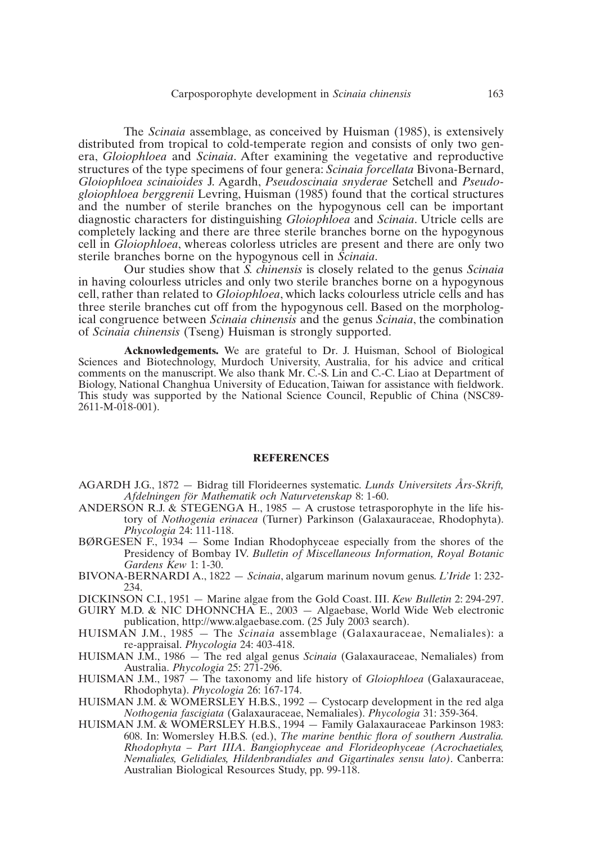Carposporophyte development in *Scinaia chinensis* 163<br>The *Scinaia* assemblage, as conceived by Huisman (1985), is extensively The *Scinaia* assemblage, as conceived by Huisman (1985), is extensively ributed from tropical to cold-temperate region and consists of only two gen-<br>*Gloiophloea* and *Scinaia*. After examining the vegetative and reproduc 85), is extensively<br>of only two gen-<br>and reproductive<br>Bivona-Bernard. distributed from tropical to cold-temperate region and consists of only two genera, *Gloiophloea* and *Scinaia*. After examining the vegetative and reproductive structures of the type specimens of four genera: *Scinaia for* era, *Gloiophloea* and *Scinaia*. After examining the vegetative and reproductive<br>structures of the type specimens of four genera: *Scinaia forcellata* Bivona-Bernard,<br>*Gloiophloea scinaioides* J. Agardh, *Pseudoscinaia sn* structures of the type specimens of four genera: *Scinaia forcellata* Bivona-Bernard, color in the *Gloiday coloreal* in the *Gloiday coloreal* in the college colorer and the number of sterile branches on the hypogynous cell can be important Gloiophloea scinaioides J. Agardh, Pseudoscinaia snyderae Setchell and Pseudo*and deriver and Seudo-*<br>and that the cortical structures<br>ynous cell can be important<br>and *Scinaia*. Utricle cells are complete sterminimes in 15th and the sterile branches borne and 1 stems<br>gloionhloeg berggrenii Levring Huisman (1985) found that the cortical structures be characters for an<br>engineering studies and there are three sterile branches borne on the hypogynous<br>show that  $\frac{1}{2}$ in the tempology number and only the branches between the color on the hypogynous cell in *Gloiophloea*, whereas colorless utricles are present and there are only two diagnostic characters for distinguishing *Gloiophioea* and *Scinaia*. Utricle cells are cell, rather than *Globe*<sub>phloea</sub>, which also coloniess utricle are present and there are employed *completely lacking and there are three sterile branches borne on the hypogynous* cell in *Gloiophloea*, whereas colorless utricles are present and there are only two sterile branches borne on the hypogynous cell in *Scina* 

in having colourless utricles and only two sterile branches borne on a hypogynous<br>cell, rather than related to *Gloiophloea*, which lacks colourless utricle cells and has<br>three sterile branches cut off from the hypogynous of *Sciences and only the statutes chinenes* of a *specifical* cell, rather than related to *Gloiophloea*, which lacks colourless utricle cells and has three sterile branches cut off from the hypogynous cell. Based on the morpholog-Fracture between *Scinaia chinensis* and the genus *Scinaia*, the combination *a chinensis* (Tseng) Huisman is strongly supported.<br>**Acknowledgements.** We are grateful to Dr. J. Huisman, School of Biological  $\alpha$  Congruence between *Scinum chinensis* and the genus *Scinum*, the combination of *Scinaia chinensis* (Tseng) Huisman is strongly supported.

Sciences and Biotechnology, Murdoch University, Australia, for his advice and critical g) Fluisman is strongly supported.<br>We are grateful to Dr. J. Huisman, School of Biological<br>Murdoch University, Australia, for his advice and critical<br>We also thank Mr. C.-S. Lin and C.-C. Liao at Department of **Acknowledgements.** We are grateful to Dr. J. Huisman, School of Biological Sciences and Biotechnology, Murdoch University, Australia, for his advice and critical comments on the manuscript. We also thank Mr. C.-S. Lin and This study was supported by the National Science Council, Republic of China (NSC89comments on the manuscript. We also thank Mr. C.-S. Lin and C.-C. Liao at Department of 2611-M-018-001).

#### *Afdelningen för Mathematik och Naturvetenskap*

- *Lunds Universitets Års-Skrift,* ic. *Lund*<br>8: 1-60. H J.G., 1872 — Bidrag till Florideernes systematic. *Lunds Universitets Års-Skrift,*<br>*Afdelningen för Mathematik och Naturvetenskap* 8: 1-60.<br>SON R.J. & STEGENGA H., 1985 — A crustose tetrasporophyte in the life his-<br>tory
- *Afdelningen för Mather*<br>*SON R.J. & STEGENG*<br>*tory of Nothogenia erii*<br>*Phycologia* 24: 111-118. ANDERSON R.J.  $\&$  STEGENGA H., 1985 — A crustose tetrasporophyte in the life history of Nothogenia erinacea (Turner) Parkinson (Galaxauraceae, Rhodophyta). *Bulletin of Miscellaneous Information, Rhodophyta).*<br>Bulletin of Miscellaneous Information, Royal Botanic *Phycologia* 24: 111-118.
- 4:  $111-11$ <br>- Som<br>: Bomba<br>1: 1-30. BØRGESEN F., 1934 — Some Indian Rhodophyceae especially from the shores of the<br>*Royal Botanic*<br>*L'Iride* 1: 232- $\overline{Pres}$ Gardens  $Kew$  1: 1-30.
- *Kew Bulletin* 2: 294-297.  $BIVONA-BERNARDI A. 1822 - Scinaia, a<sub>l</sub>asarum maximum nowum genus, L'Iride 1: 232$  $p_{34}$
- 
- DICKINSON C.I., 1951 Marine algae from the Gold Coast. III. *Kew Bulletin* 2: 294-297.<br>GUIRY M.D. & NIC DHONNCHA E., 2003 Algaebase, World Wide Web electronic<br>publication, http://www.algaebase.com. (25 July 2003 search M.D. & NIC DHONNCHA E., 2003 - Algaebase, World Wide Web electronic<br>publication, http://www.algaebase.com. (25 July 2003 search).<br>NN J.M., 1985 - The *Scinaia* assemblage (Galaxauraceae, Nemaliales): a<br>re-appraisal. *Phyco* publication, http://www.algaebase.com. (25 July 2003 search).
- ly 2003 search).<br>(Galaxauraceae, Nemaliales): a<br>(Galaxauraceae. Nemaliales) from AN J.M., 1985<sup>-</sup> – The *Scinaia*<br>re-appraisal. *Phycologia* 24: 403-4<br>N J.M., 1986 – The red algal ge<br>Australia. *Phycologia* 25: 271-296. re-appraisal. *Phycologia* 24: 403-418.
- (Galaxauraceae, Calaxauraceae, Calaxauraceae, Calaxauraceae, Calaxauraceae, Calaxauraceae, Calaxauraceae, Cala Rhodophyta). **Phycologia** 25: 271-296.<br> **Phycologia** 25: 271-296.<br> **Phycologia** 25: 271-296.<br> **Phycologia** 26: 167-174. Australia. Phycologia 25: 271-296.
- *HUISMAN J.M., 1987* The taxonomy and life history of *Gloiophloea* (Galaxauraceae, taxonomy and life history of *Gloiophloea* (Galaxaura<br>*logia* 26: 167-174.<br>LEY H.B.S., 1992 — Cystocarp development in the ree<br>(Galaxauraceae. Nemaliales). *Phycologia* 31: 359-364. Rhodophyta). Phycologia 26: 167-174.
- $NIM$ . & WOMERSLEY H.B.S., 1992 – Cystocarp development in the red alga<br>enia fascigiata (Galaxauraceae, Nemaliales). *Phycologia* 31: 359-364.<br>& WOMERSLEY H.B.S., 1994 – Family Galaxauraceae Parkinson 1983:<br>Womersley H.B.S. (ed.) *Nothogenia fascigiata* (Galaxauraceae, Nemaliales). *Phycologia* 31: 359-364.
- *Baxauraceae, Nemaliales). Phycologia 31: 359-364.*<br>*H.B.S., 1994 Family Galaxauraceae Parkinson 1983:*<br>*Accordation Center and Florideophyceae (Acrochaetiales, Bangiophyceae and Florideophyceae (Acrochaetiales) Nemaliales, Gelidiales, Hildenbrandiales and Gigartinales sensu lato)*. Canberra:Nemaliales, Gelidiales, Hildenbrandiales and Gigartinales sensu lato). Canberra: 608. In: Womersley H.B.S. (ed.), *The marine benti*<br>Rhodophyta – Part IIIA. Bangiophyceae and Fl<br>Nemaliales, Gelidiales, Hildenbrandiales and Giga<br>Australian Biological Resources Study. pp. 99-118.